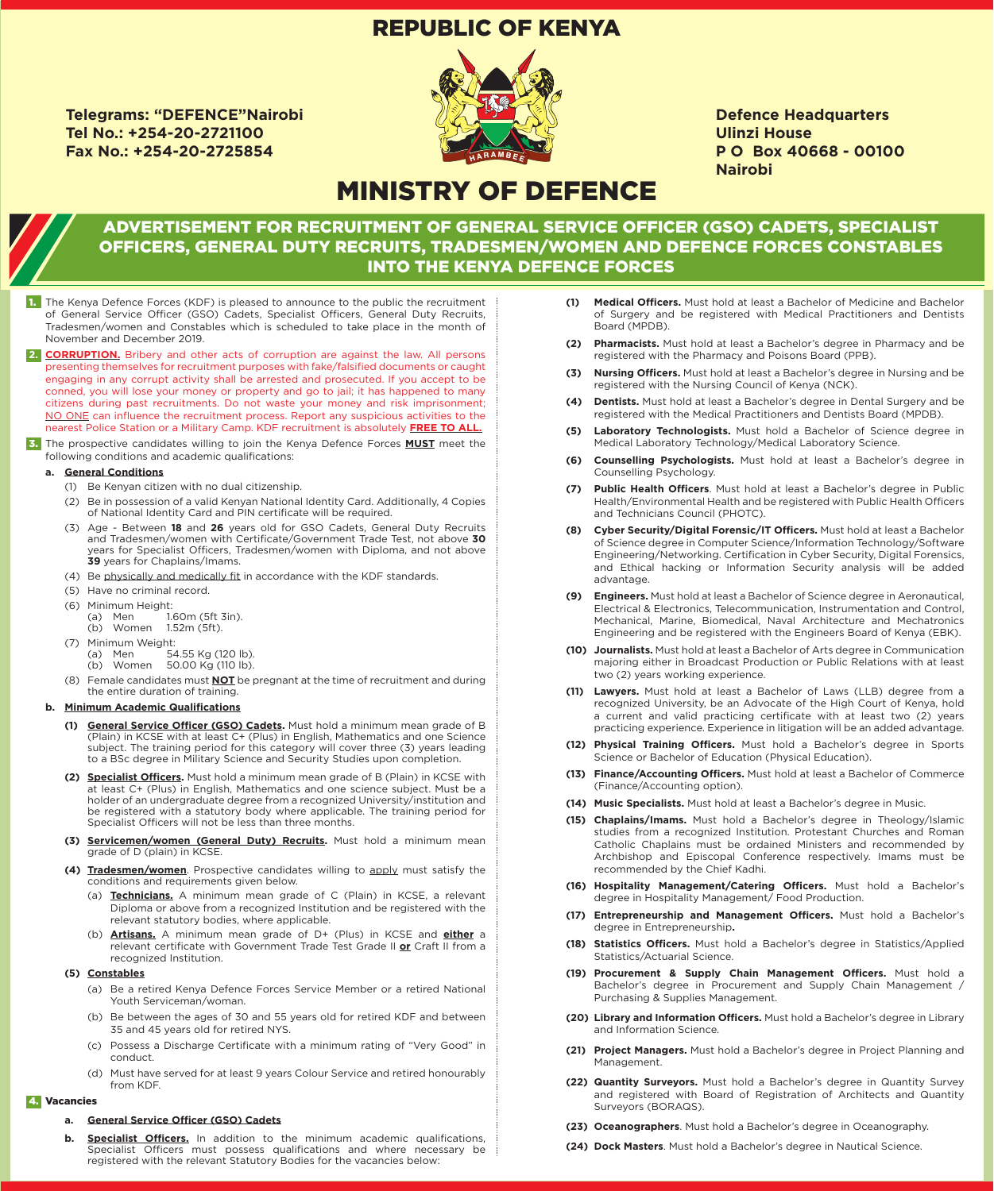## REPUBLIC OF KENYA

**Telegrams: "DEFENCE"Nairobi Tel No.: +254-20-2721100 Fax No.: +254-20-2725854**



**Defence Headquarters Ulinzi House P O Box 40668 - 00100 Nairobi**

# MINISTRY OF DEFENCE

### ADVERTISEMENT FOR RECRUITMENT OF GENERAL SERVICE OFFICER (GSO) CADETS, SPECIALIST OFFICERS, GENERAL DUTY RECRUITS, TRADESMEN/WOMEN AND DEFENCE FORCES CONSTABLES INTO THE KENYA DEFENCE FORCES

- 1. The Kenya Defence Forces (KDF) is pleased to announce to the public the recruitment of General Service Officer (GSO) Cadets, Specialist Officers, General Duty Recruits, Tradesmen/women and Constables which is scheduled to take place in the month of November and December 2019.
- 2. **CORRUPTION.** Bribery and other acts of corruption are against the law. All persons presenting themselves for recruitment purposes with fake/falsified documents or caught engaging in any corrupt activity shall be arrested and prosecuted. If you accept to be conned, you will lose your money or property and go to jail; it has happened to many citizens during past recruitments. Do not waste your money and risk imprisonment; NO ONE can influence the recruitment process. Report any suspicious activities to the nearest Police Station or a Military Camp. KDF recruitment is absolutely **FREE TO ALL.**
- 3. The prospective candidates willing to join the Kenya Defence Forces **MUST** meet the following conditions and academic qualifications:

#### **a. General Conditions**

- (1) Be Kenyan citizen with no dual citizenship.
- (2) Be in possession of a valid Kenyan National Identity Card. Additionally, 4 Copies of National Identity Card and PIN certificate will be required.
- (3) Age Between **18** and **26** years old for GSO Cadets, General Duty Recruits and Tradesmen/women with Certificate/Government Trade Test, not above **30** years for Specialist Officers, Tradesmen/women with Diploma, and not above **39** years for Chaplains/Imams.
- (4) Be physically and medically fit in accordance with the KDF standards.
- (5) Have no criminal record.
- (6) Minimum Height:
	- (a) Men 1.60m (5ft 3in).
	- (b) Women 1.52m (5ft).
- (7) Minimum Weight:
	- (a) Men 54.55 Kg (120 lb).
	- (b) Women 50.00 Kg (110 lb).
- (8) Female candidates must **NOT** be pregnant at the time of recruitment and during the entire duration of training.

#### **b. Minimum Academic Qualifications**

- **General Service Officer (GSO) Cadets.** Must hold a minimum mean grade of B (Plain) in KCSE with at least C+ (Plus) in English, Mathematics and one Science subject. The training period for this category will cover three (3) years leading to a BSc degree in Military Science and Security Studies upon completion.
- **(2) Specialist Officers.** Must hold a minimum mean grade of B (Plain) in KCSE with at least C+ (Plus) in English, Mathematics and one science subject. Must be a holder of an undergraduate degree from a recognized University/institution and be registered with a statutory body where applicable. The training period for Specialist Officers will not be less than three months.
- **(3) Servicemen/women (General Duty) Recruits.** Must hold a minimum mean grade of D (plain) in KCSE.
- **(4) Tradesmen/women**. Prospective candidates willing to apply must satisfy the conditions and requirements given below.
	- (a) **Technicians.** A minimum mean grade of C (Plain) in KCSE, a relevant Diploma or above from a recognized Institution and be registered with the relevant statutory bodies, where applicable.
	- (b) **Artisans.** A minimum mean grade of D+ (Plus) in KCSE and **either** a relevant certificate with Government Trade Test Grade II **or** Craft II from a recognized Institution.
- **(5) Constables**
	- (a) Be a retired Kenya Defence Forces Service Member or a retired National Youth Serviceman/woman.
	- (b) Be between the ages of 30 and 55 years old for retired KDF and between 35 and 45 years old for retired NYS.
	- (c) Possess a Discharge Certificate with a minimum rating of "Very Good" in conduct.
	- (d) Must have served for at least 9 years Colour Service and retired honourably from KDF.

#### 4. Vacancies

#### **a. General Service Officer (GSO) Cadets**

**Specialist Officers.** In addition to the minimum academic qualifications, Specialist Officers must possess qualifications and where necessary be registered with the relevant Statutory Bodies for the vacancies below:

- **(1) Medical Officers.** Must hold at least a Bachelor of Medicine and Bachelor of Surgery and be registered with Medical Practitioners and Dentists Board (MPDB).
- **(2) Pharmacists.** Must hold at least a Bachelor's degree in Pharmacy and be registered with the Pharmacy and Poisons Board (PPB).
- **(3) Nursing Officers.** Must hold at least a Bachelor's degree in Nursing and be registered with the Nursing Council of Kenya (NCK).
- **(4) Dentists.** Must hold at least a Bachelor's degree in Dental Surgery and be registered with the Medical Practitioners and Dentists Board (MPDB).
- **(5) Laboratory Technologists.** Must hold a Bachelor of Science degree in Medical Laboratory Technology/Medical Laboratory Science.
- **(6) Counselling Psychologists.** Must hold at least a Bachelor's degree in Counselling Psychology.
- **(7) Public Health Officers**. Must hold at least a Bachelor's degree in Public Health/Environmental Health and be registered with Public Health Officers and Technicians Council (PHOTC).
- **(8) Cyber Security/Digital Forensic/IT Officers.** Must hold at least a Bachelor of Science degree in Computer Science/Information Technology/Software Engineering/Networking. Certification in Cyber Security, Digital Forensics, and Ethical hacking or Information Security analysis will be added advantage.
- **(9) Engineers.** Must hold at least a Bachelor of Science degree in Aeronautical, Electrical & Electronics, Telecommunication, Instrumentation and Control, Mechanical, Marine, Biomedical, Naval Architecture and Mechatronics Engineering and be registered with the Engineers Board of Kenya (EBK).
- **(10) Journalists.** Must hold at least a Bachelor of Arts degree in Communication majoring either in Broadcast Production or Public Relations with at least two (2) years working experience.
- **(11) Lawyers.** Must hold at least a Bachelor of Laws (LLB) degree from a recognized University, be an Advocate of the High Court of Kenya, hold a current and valid practicing certificate with at least two (2) years practicing experience. Experience in litigation will be an added advantage.
- **(12) Physical Training Officers.** Must hold a Bachelor's degree in Sports Science or Bachelor of Education (Physical Education).
- **(13) Finance/Accounting Officers.** Must hold at least a Bachelor of Commerce (Finance/Accounting option).
- **(14) Music Specialists.** Must hold at least a Bachelor's degree in Music.
- **(15) Chaplains/Imams.** Must hold a Bachelor's degree in Theology/Islamic studies from a recognized Institution. Protestant Churches and Roman Catholic Chaplains must be ordained Ministers and recommended by Archbishop and Episcopal Conference respectively. Imams must be recommended by the Chief Kadhi.
- **(16) Hospitality Management/Catering Officers.** Must hold a Bachelor's degree in Hospitality Management/ Food Production.
- **(17) Entrepreneurship and Management Officers.** Must hold a Bachelor's degree in Entrepreneurship**.**
- **(18) Statistics Officers.** Must hold a Bachelor's degree in Statistics/Applied Statistics/Actuarial Science.
- **(19) Procurement & Supply Chain Management Officers.** Must hold a Bachelor's degree in Procurement and Supply Chain Management / Purchasing & Supplies Management.
- **(20) Library and Information Officers.** Must hold a Bachelor's degree in Library and Information Science.
- **(21) Project Managers.** Must hold a Bachelor's degree in Project Planning and Management.
- **(22) Quantity Surveyors.** Must hold a Bachelor's degree in Quantity Survey and registered with Board of Registration of Architects and Quantity Surveyors (BORAQS).
- **(23) Oceanographers**. Must hold a Bachelor's degree in Oceanography.
- **(24) Dock Masters**. Must hold a Bachelor's degree in Nautical Science.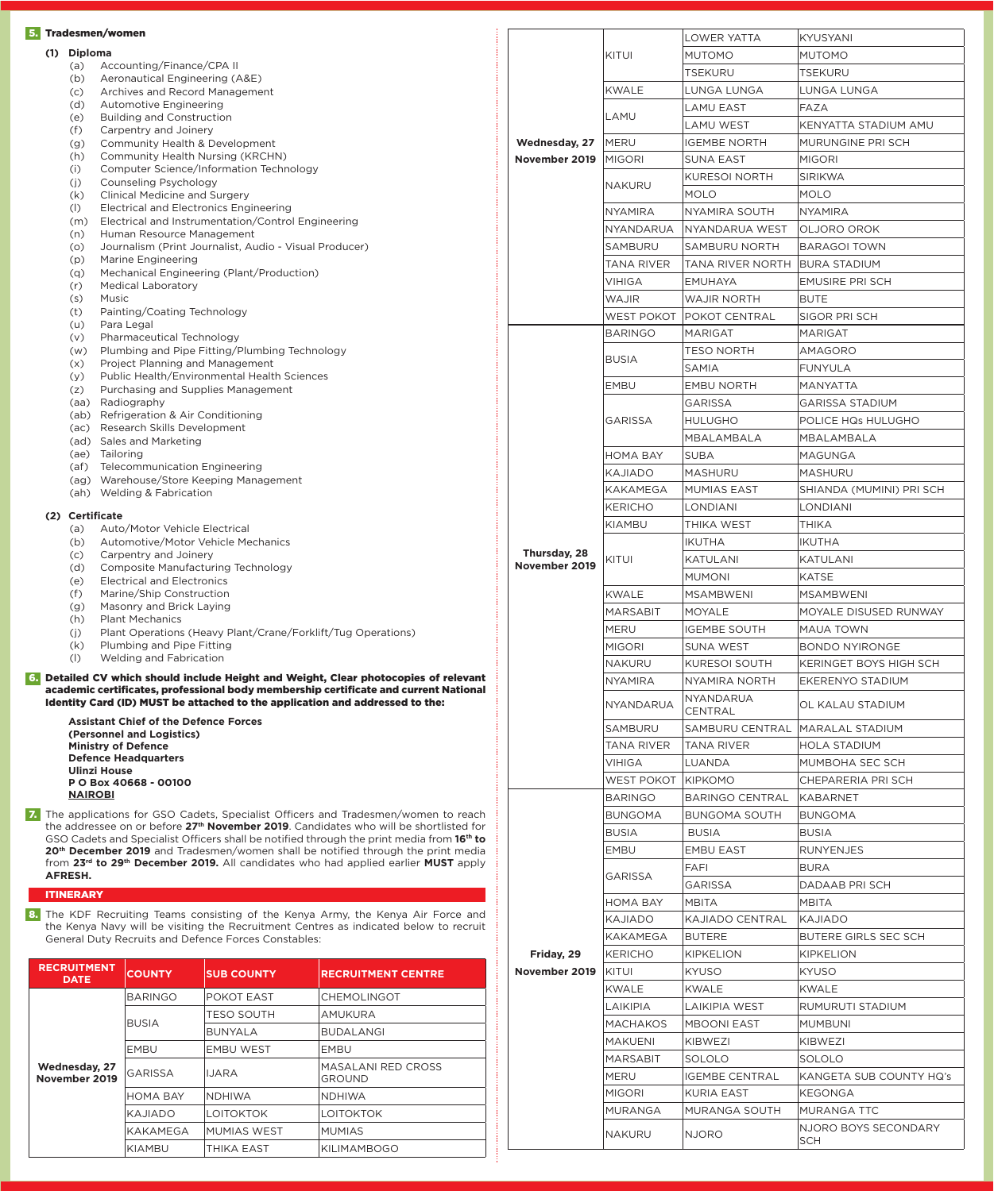|     |                                                                  | 5. Tradesmen/women                                                                                                                                                                                         |                                                                                                                                                                                                                                                            |                                                                                                                                                                                                                                                                         |               |                      | <b>LOWER YATTA</b>      | <b>KYUSYANI</b>          |
|-----|------------------------------------------------------------------|------------------------------------------------------------------------------------------------------------------------------------------------------------------------------------------------------------|------------------------------------------------------------------------------------------------------------------------------------------------------------------------------------------------------------------------------------------------------------|-------------------------------------------------------------------------------------------------------------------------------------------------------------------------------------------------------------------------------------------------------------------------|---------------|----------------------|-------------------------|--------------------------|
| (1) | <b>Diploma</b>                                                   |                                                                                                                                                                                                            |                                                                                                                                                                                                                                                            |                                                                                                                                                                                                                                                                         |               | KITUI                | <b>MUTOMO</b>           | <b>MUTOMO</b>            |
|     | (a)                                                              | Accounting/Finance/CPA II<br>Aeronautical Engineering (A&E)                                                                                                                                                |                                                                                                                                                                                                                                                            |                                                                                                                                                                                                                                                                         |               | <b>TSEKURU</b>       | <b>TSEKURU</b>          |                          |
|     | (b)                                                              |                                                                                                                                                                                                            |                                                                                                                                                                                                                                                            |                                                                                                                                                                                                                                                                         |               |                      | LUNGA LUNGA             | LUNGA LUNGA              |
|     | (c)<br>(d)                                                       |                                                                                                                                                                                                            | Archives and Record Management<br><b>Automotive Engineering</b><br><b>Building and Construction</b>                                                                                                                                                        |                                                                                                                                                                                                                                                                         |               | <b>KWALE</b>         |                         |                          |
|     | (e)                                                              |                                                                                                                                                                                                            |                                                                                                                                                                                                                                                            |                                                                                                                                                                                                                                                                         |               | LAMU                 | <b>LAMU EAST</b>        | <b>FAZA</b>              |
|     | (f)                                                              | Carpentry and Joinery                                                                                                                                                                                      |                                                                                                                                                                                                                                                            |                                                                                                                                                                                                                                                                         |               |                      | <b>LAMU WEST</b>        | KENYATTA STADIUM AMU     |
|     | (g)                                                              | Community Health & Development                                                                                                                                                                             |                                                                                                                                                                                                                                                            |                                                                                                                                                                                                                                                                         | Wednesday, 27 | <b>MERU</b>          | <b>IGEMBE NORTH</b>     | MURUNGINE PRI SCH        |
|     | (h)<br>(i)                                                       | Community Health Nursing (KRCHN)                                                                                                                                                                           | Computer Science/Information Technology                                                                                                                                                                                                                    |                                                                                                                                                                                                                                                                         | November 2019 | <b>MIGORI</b>        | <b>SUNA EAST</b>        | <b>MIGORI</b>            |
|     | (j)                                                              | Counseling Psychology                                                                                                                                                                                      |                                                                                                                                                                                                                                                            |                                                                                                                                                                                                                                                                         |               | <b>NAKURU</b>        | <b>KURESOI NORTH</b>    | <b>SIRIKWA</b>           |
|     | (k)                                                              | <b>Clinical Medicine and Surgery</b>                                                                                                                                                                       |                                                                                                                                                                                                                                                            |                                                                                                                                                                                                                                                                         |               |                      | <b>MOLO</b>             | <b>MOLO</b>              |
|     | (1)                                                              | <b>Electrical and Electronics Engineering</b>                                                                                                                                                              |                                                                                                                                                                                                                                                            |                                                                                                                                                                                                                                                                         |               | <b>NYAMIRA</b>       | <b>NYAMIRA SOUTH</b>    | <b>NYAMIRA</b>           |
|     | (m)<br>(n)                                                       | Electrical and Instrumentation/Control Engineering<br>Human Resource Management                                                                                                                            |                                                                                                                                                                                                                                                            |                                                                                                                                                                                                                                                                         |               | NYANDARUA            | NYANDARUA WEST          | OLJORO OROK              |
|     | (0)                                                              | Journalism (Print Journalist, Audio - Visual Producer)                                                                                                                                                     |                                                                                                                                                                                                                                                            | <b>SAMBURU</b>                                                                                                                                                                                                                                                          |               | <b>SAMBURU NORTH</b> | <b>BARAGOI TOWN</b>     |                          |
|     | (p)                                                              | <b>Marine Engineering</b>                                                                                                                                                                                  |                                                                                                                                                                                                                                                            |                                                                                                                                                                                                                                                                         |               | <b>TANA RIVER</b>    | <b>TANA RIVER NORTH</b> | <b>BURA STADIUM</b>      |
|     | (q)<br>(r)                                                       | Mechanical Engineering (Plant/Production)<br><b>Medical Laboratory</b>                                                                                                                                     |                                                                                                                                                                                                                                                            |                                                                                                                                                                                                                                                                         |               | <b>VIHIGA</b>        | <b>EMUHAYA</b>          | <b>EMUSIRE PRI SCH</b>   |
|     | (s)                                                              | Music                                                                                                                                                                                                      |                                                                                                                                                                                                                                                            |                                                                                                                                                                                                                                                                         |               | <b>WAJIR</b>         | <b>WAJIR NORTH</b>      | <b>BUTE</b>              |
|     | (t)                                                              | Painting/Coating Technology                                                                                                                                                                                |                                                                                                                                                                                                                                                            |                                                                                                                                                                                                                                                                         |               | <b>WEST POKOT</b>    | <b>POKOT CENTRAL</b>    | <b>SIGOR PRI SCH</b>     |
|     | (u)                                                              | Para Legal<br>Pharmaceutical Technology                                                                                                                                                                    |                                                                                                                                                                                                                                                            |                                                                                                                                                                                                                                                                         |               | <b>BARINGO</b>       | <b>MARIGAT</b>          | <b>MARIGAT</b>           |
|     | (v)<br>(w)                                                       |                                                                                                                                                                                                            | Plumbing and Pipe Fitting/Plumbing Technology                                                                                                                                                                                                              |                                                                                                                                                                                                                                                                         |               |                      | <b>TESO NORTH</b>       | AMAGORO                  |
|     | (x)                                                              | Project Planning and Management                                                                                                                                                                            |                                                                                                                                                                                                                                                            |                                                                                                                                                                                                                                                                         |               | <b>BUSIA</b>         | <b>SAMIA</b>            | <b>FUNYULA</b>           |
|     | (y)                                                              |                                                                                                                                                                                                            | Public Health/Environmental Health Sciences                                                                                                                                                                                                                |                                                                                                                                                                                                                                                                         |               | <b>EMBU</b>          | <b>EMBU NORTH</b>       | MANYATTA                 |
|     | (z)                                                              | Purchasing and Supplies Management<br>(aa) Radiography                                                                                                                                                     |                                                                                                                                                                                                                                                            |                                                                                                                                                                                                                                                                         |               |                      | <b>GARISSA</b>          | <b>GARISSA STADIUM</b>   |
|     |                                                                  | (ab) Refrigeration & Air Conditioning                                                                                                                                                                      |                                                                                                                                                                                                                                                            |                                                                                                                                                                                                                                                                         |               |                      | <b>HULUGHO</b>          | POLICE HQs HULUGHO       |
|     |                                                                  | (ac) Research Skills Development                                                                                                                                                                           |                                                                                                                                                                                                                                                            |                                                                                                                                                                                                                                                                         |               | <b>GARISSA</b>       |                         |                          |
|     |                                                                  | (ad) Sales and Marketing<br>(ae) Tailoring                                                                                                                                                                 |                                                                                                                                                                                                                                                            |                                                                                                                                                                                                                                                                         |               |                      | MBALAMBALA              | MBALAMBALA               |
|     | (af)                                                             |                                                                                                                                                                                                            | <b>Telecommunication Engineering</b>                                                                                                                                                                                                                       |                                                                                                                                                                                                                                                                         |               | <b>HOMA BAY</b>      | <b>SUBA</b>             | <b>MAGUNGA</b>           |
|     |                                                                  | (ag) Warehouse/Store Keeping Management                                                                                                                                                                    |                                                                                                                                                                                                                                                            |                                                                                                                                                                                                                                                                         |               | <b>KAJIADO</b>       | <b>MASHURU</b>          | <b>MASHURU</b>           |
|     |                                                                  | (ah) Welding & Fabrication                                                                                                                                                                                 |                                                                                                                                                                                                                                                            |                                                                                                                                                                                                                                                                         |               | <b>KAKAMEGA</b>      | <b>MUMIAS EAST</b>      | SHIANDA (MUMINI) PRI SCH |
|     | (2) Certificate                                                  |                                                                                                                                                                                                            |                                                                                                                                                                                                                                                            |                                                                                                                                                                                                                                                                         |               | <b>KERICHO</b>       | <b>LONDIANI</b>         | <b>LONDIANI</b>          |
|     | (a)                                                              | Auto/Motor Vehicle Electrical                                                                                                                                                                              |                                                                                                                                                                                                                                                            |                                                                                                                                                                                                                                                                         |               | KIAMBU               | <b>THIKA WEST</b>       | <b>THIKA</b>             |
|     | (b)<br>(c)                                                       | Automotive/Motor Vehicle Mechanics<br>Carpentry and Joinery                                                                                                                                                |                                                                                                                                                                                                                                                            |                                                                                                                                                                                                                                                                         | Thursday, 28  |                      | <b>IKUTHA</b>           | <b>IKUTHA</b>            |
|     | (d)                                                              | Composite Manufacturing Technology                                                                                                                                                                         |                                                                                                                                                                                                                                                            |                                                                                                                                                                                                                                                                         | November 2019 | KITUI                | <b>KATULANI</b>         | <b>KATULANI</b>          |
|     | (e)                                                              | <b>Electrical and Electronics</b><br>Marine/Ship Construction                                                                                                                                              |                                                                                                                                                                                                                                                            |                                                                                                                                                                                                                                                                         |               |                      | <b>MUMONI</b>           | <b>KATSE</b>             |
|     | (f)                                                              |                                                                                                                                                                                                            |                                                                                                                                                                                                                                                            |                                                                                                                                                                                                                                                                         |               | <b>KWALE</b>         | <b>MSAMBWENI</b>        | <b>MSAMBWENI</b>         |
|     | Masonry and Brick Laying<br>(g)<br><b>Plant Mechanics</b><br>(h) |                                                                                                                                                                                                            |                                                                                                                                                                                                                                                            |                                                                                                                                                                                                                                                                         |               | <b>MARSABIT</b>      | <b>MOYALE</b>           | MOYALE DISUSED RUNWAY    |
|     | (i)                                                              | Plant Operations (Heavy Plant/Crane/Forklift/Tug Operations)                                                                                                                                               |                                                                                                                                                                                                                                                            |                                                                                                                                                                                                                                                                         | <b>MERU</b>   | <b>IGEMBE SOUTH</b>  | <b>MAUA TOWN</b>        |                          |
|     | (k)                                                              | Plumbing and Pipe Fitting                                                                                                                                                                                  |                                                                                                                                                                                                                                                            |                                                                                                                                                                                                                                                                         |               | <b>MIGORI</b>        | <b>SUNA WEST</b>        | <b>BONDO NYIRONGE</b>    |
|     | (1)                                                              | Welding and Fabrication                                                                                                                                                                                    |                                                                                                                                                                                                                                                            |                                                                                                                                                                                                                                                                         |               | <b>NAKURU</b>        | <b>KURESOI SOUTH</b>    | KERINGET BOYS HIGH SCH   |
|     |                                                                  |                                                                                                                                                                                                            |                                                                                                                                                                                                                                                            | Detailed CV which should include Height and Weight, Clear photocopies of relevant<br>academic certificates, professional body membership certificate and current National                                                                                               |               | <b>NYAMIRA</b>       | NYAMIRA NORTH           | EKERENYO STADIUM         |
|     |                                                                  |                                                                                                                                                                                                            |                                                                                                                                                                                                                                                            | Identity Card (ID) MUST be attached to the application and addressed to the:                                                                                                                                                                                            |               | <b>NYANDARUA</b>     | NYANDARUA               | OL KALAU STADIUM         |
|     |                                                                  | <b>Assistant Chief of the Defence Forces</b>                                                                                                                                                               |                                                                                                                                                                                                                                                            |                                                                                                                                                                                                                                                                         |               |                      | <b>CENTRAL</b>          |                          |
|     |                                                                  | (Personnel and Logistics)                                                                                                                                                                                  |                                                                                                                                                                                                                                                            |                                                                                                                                                                                                                                                                         |               | <b>SAMBURU</b>       | <b>SAMBURU CENTRAL</b>  | MARALAL STADIUM          |
|     |                                                                  | <b>Ministry of Defence</b><br><b>Defence Headquarters</b><br><b>Ulinzi House</b><br>P O Box 40668 - 00100                                                                                                  |                                                                                                                                                                                                                                                            | <b>TANA RIVER</b>                                                                                                                                                                                                                                                       |               | <b>TANA RIVER</b>    | <b>HOLA STADIUM</b>     |                          |
|     |                                                                  |                                                                                                                                                                                                            |                                                                                                                                                                                                                                                            | <b>VIHIGA</b>                                                                                                                                                                                                                                                           |               | <b>LUANDA</b>        | MUMBOHA SEC SCH         |                          |
|     |                                                                  |                                                                                                                                                                                                            |                                                                                                                                                                                                                                                            | <b>WEST POKOT</b>                                                                                                                                                                                                                                                       |               | <b>KIPKOMO</b>       | CHEPARERIA PRI SCH      |                          |
|     | <b>NAIROBI</b>                                                   |                                                                                                                                                                                                            |                                                                                                                                                                                                                                                            |                                                                                                                                                                                                                                                                         |               | <b>BARINGO</b>       | <b>BARINGO CENTRAL</b>  | <b>KABARNET</b>          |
|     |                                                                  |                                                                                                                                                                                                            |                                                                                                                                                                                                                                                            | 7. The applications for GSO Cadets, Specialist Officers and Tradesmen/women to reach                                                                                                                                                                                    |               | <b>BUNGOMA</b>       | <b>BUNGOMA SOUTH</b>    | <b>BUNGOMA</b>           |
|     |                                                                  |                                                                                                                                                                                                            | the addressee on or before 27 <sup>th</sup> November 2019. Candidates who will be shortlisted for<br><b>BUSIA</b><br><b>BUSIA</b><br><b>BUSIA</b><br>GSO Cadets and Specialist Officers shall be notified through the print media from 16 <sup>th</sup> to |                                                                                                                                                                                                                                                                         |               |                      |                         |                          |
|     |                                                                  | 20 <sup>th</sup> December 2019 and Tradesmen/women shall be notified through the print media<br>from 23 <sup>rd</sup> to 29 <sup>th</sup> December 2019. All candidates who had applied earlier MUST apply |                                                                                                                                                                                                                                                            |                                                                                                                                                                                                                                                                         | <b>EMBU</b>   | <b>EMBU EAST</b>     | <b>RUNYENJES</b>        |                          |
|     | AFRESH.                                                          |                                                                                                                                                                                                            |                                                                                                                                                                                                                                                            |                                                                                                                                                                                                                                                                         |               |                      | <b>FAFI</b>             | <b>BURA</b>              |
|     |                                                                  |                                                                                                                                                                                                            |                                                                                                                                                                                                                                                            |                                                                                                                                                                                                                                                                         |               |                      | <b>GARISSA</b>          | DADAAB PRI SCH           |
|     | <b>ITINERARY</b>                                                 |                                                                                                                                                                                                            | <b>GARISSA</b><br><b>HOMA BAY</b><br><b>MBITA</b><br><b>MBITA</b><br>8. The KDF Recruiting Teams consisting of the Kenya Army, the Kenya Air Force and                                                                                                     |                                                                                                                                                                                                                                                                         |               |                      |                         |                          |
|     |                                                                  |                                                                                                                                                                                                            |                                                                                                                                                                                                                                                            | KAJIADO<br><b>KAJIADO CENTRAL</b><br>KAJIADO<br>the Kenya Navy will be visiting the Recruitment Centres as indicated below to recruit<br><b>KAKAMEGA</b><br><b>BUTERE</b><br><b>BUTERE GIRLS SEC SCH</b><br><b>General Duty Recruits and Defence Forces Constables:</b> |               |                      |                         |                          |
|     |                                                                  |                                                                                                                                                                                                            |                                                                                                                                                                                                                                                            |                                                                                                                                                                                                                                                                         |               |                      |                         |                          |
|     |                                                                  |                                                                                                                                                                                                            |                                                                                                                                                                                                                                                            |                                                                                                                                                                                                                                                                         | Friday, 29    | <b>KERICHO</b>       | <b>KIPKELION</b>        | <b>KIPKELION</b>         |
|     | <b>RECRUITMENT</b><br><b>DATE</b>                                | <b>COUNTY</b>                                                                                                                                                                                              | <b>SUB COUNTY</b>                                                                                                                                                                                                                                          | <b>RECRUITMENT CENTRE</b>                                                                                                                                                                                                                                               | November 2019 | KITUI                | <b>KYUSO</b>            | <b>KYUSO</b>             |
|     |                                                                  |                                                                                                                                                                                                            |                                                                                                                                                                                                                                                            |                                                                                                                                                                                                                                                                         |               | <b>KWALE</b>         | <b>KWALE</b>            | <b>KWALE</b>             |
|     |                                                                  | <b>BARINGO</b>                                                                                                                                                                                             | POKOT EAST<br>TESO SOUTH                                                                                                                                                                                                                                   | <b>CHEMOLINGOT</b><br>AMUKURA                                                                                                                                                                                                                                           |               | LAIKIPIA             | <b>LAIKIPIA WEST</b>    | RUMURUTI STADIUM         |
|     |                                                                  | <b>BUSIA</b>                                                                                                                                                                                               |                                                                                                                                                                                                                                                            |                                                                                                                                                                                                                                                                         |               | <b>MACHAKOS</b>      | <b>MBOONI EAST</b>      | <b>MUMBUNI</b>           |
|     |                                                                  |                                                                                                                                                                                                            | <b>BUNYALA</b>                                                                                                                                                                                                                                             | <b>BUDALANGI</b>                                                                                                                                                                                                                                                        |               | <b>MAKUENI</b>       | <b>KIBWEZI</b>          | <b>KIBWEZI</b>           |
|     |                                                                  | EMBU                                                                                                                                                                                                       | <b>EMBU WEST</b>                                                                                                                                                                                                                                           | <b>EMBU</b>                                                                                                                                                                                                                                                             |               | <b>MARSABIT</b>      | <b>SOLOLO</b>           | <b>SOLOLO</b>            |
|     | Wednesday, 27<br>November 2019                                   | GARISSA                                                                                                                                                                                                    | IJARA                                                                                                                                                                                                                                                      | MASALANI RED CROSS<br><b>GROUND</b>                                                                                                                                                                                                                                     |               | <b>MERU</b>          | <b>IGEMBE CENTRAL</b>   | KANGETA SUB COUNTY HQ's  |
|     |                                                                  | <b>HOMA BAY</b>                                                                                                                                                                                            | <b>NDHIWA</b>                                                                                                                                                                                                                                              | <b>NDHIWA</b>                                                                                                                                                                                                                                                           |               | <b>MIGORI</b>        | <b>KURIA EAST</b>       | <b>KEGONGA</b>           |
|     |                                                                  | KAJIADO                                                                                                                                                                                                    | LOITOKTOK                                                                                                                                                                                                                                                  | LOITOKTOK                                                                                                                                                                                                                                                               |               | <b>MURANGA</b>       | MURANGA SOUTH           | <b>MURANGA TTC</b>       |
|     |                                                                  | KAKAMEGA                                                                                                                                                                                                   | <b>MUMIAS WEST</b>                                                                                                                                                                                                                                         | <b>MUMIAS</b>                                                                                                                                                                                                                                                           |               |                      |                         | NJORO BOYS SECONDARY     |
|     |                                                                  |                                                                                                                                                                                                            |                                                                                                                                                                                                                                                            |                                                                                                                                                                                                                                                                         |               | <b>NAKURU</b>        | <b>NJORO</b>            | <b>SCH</b>               |
|     |                                                                  | <b>KIAMBU</b>                                                                                                                                                                                              | THIKA EAST                                                                                                                                                                                                                                                 | <b>KILIMAMBOGO</b>                                                                                                                                                                                                                                                      |               |                      |                         |                          |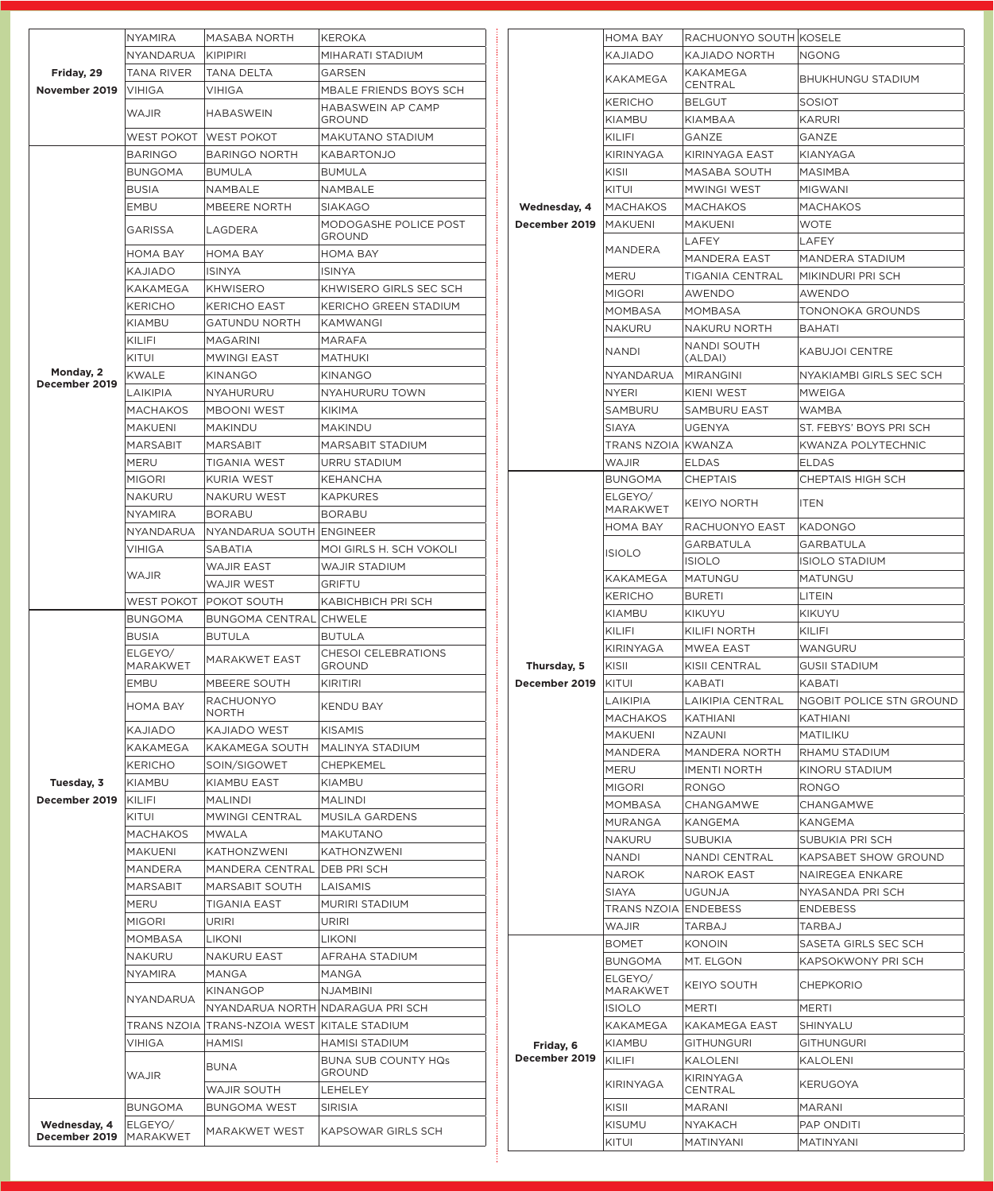|                                          | <b>NYAMIRA</b>             | <b>MASABA NORTH</b>                                                      | <b>KEROKA</b>                               |             |                               | HOMA BAY                   | RACHUONYO SOUTH KOSELE        |                          |
|------------------------------------------|----------------------------|--------------------------------------------------------------------------|---------------------------------------------|-------------|-------------------------------|----------------------------|-------------------------------|--------------------------|
|                                          | NYANDARUA                  | <b>KIPIPIRI</b>                                                          | MIHARATI STADIUM                            |             |                               | KAJIADO                    | KAJIADO NORTH                 | <b>NGONG</b>             |
| Friday, 29                               | <b>TANA RIVER</b>          | <b>TANA DELTA</b>                                                        | <b>GARSEN</b>                               |             |                               | <b>KAKAMEGA</b>            | <b>KAKAMEGA</b>               | <b>BHUKHUNGU STADIUM</b> |
| November 2019                            | <b>VIHIGA</b>              | VIHIGA                                                                   | MBALE FRIENDS BOYS SCH                      |             |                               |                            | CENTRAL                       |                          |
|                                          | <b>WAJIR</b>               | <b>HABASWEIN</b>                                                         | <b>HABASWEIN AP CAMP</b>                    |             |                               | <b>KERICHO</b>             | <b>BELGUT</b>                 | <b>SOSIOT</b>            |
|                                          |                            |                                                                          | <b>GROUND</b>                               |             |                               | <b>KIAMBU</b>              | <b>KIAMBAA</b>                | <b>KARURI</b>            |
|                                          | WEST POKOT                 | <b>WEST POKOT</b>                                                        | MAKUTANO STADIUM                            |             |                               | KILIFI                     | GANZE                         | GANZE                    |
|                                          | <b>BARINGO</b>             | <b>BARINGO NORTH</b>                                                     | <b>KABARTONJO</b>                           |             |                               | <b>KIRINYAGA</b>           | KIRINYAGA EAST                | KIANYAGA                 |
|                                          | <b>BUNGOMA</b>             | <b>BUMULA</b><br><b>BUMULA</b>                                           |                                             |             |                               | KISII                      | MASABA SOUTH                  | <b>MASIMBA</b>           |
|                                          | <b>BUSIA</b>               | NAMBALE                                                                  | NAMBALE                                     |             |                               | KITUI                      | <b>MWINGI WEST</b>            | <b>MIGWANI</b>           |
|                                          | <b>EMBU</b>                | <b>MBEERE NORTH</b>                                                      | <b>SIAKAGO</b>                              |             | Wednesday, 4<br>December 2019 | <b>MACHAKOS</b>            | <b>MACHAKOS</b>               | <b>MACHAKOS</b>          |
|                                          | <b>GARISSA</b>             | LAGDERA                                                                  | MODOGASHE POLICE POST<br><b>GROUND</b>      |             |                               | <b>IMAKUENI</b>            | <b>MAKUENI</b>                | <b>WOTE</b>              |
|                                          | HOMA BAY                   | <b>HOMA BAY</b>                                                          | HOMA BAY                                    |             |                               | MANDERA                    | <b>LAFEY</b>                  | <b>LAFEY</b>             |
|                                          | KAJIADO                    | <b>ISINYA</b>                                                            | ISINYA                                      |             |                               |                            | <b>MANDERA EAST</b>           | <b>MANDERA STADIUM</b>   |
|                                          | <b>KAKAMEGA</b>            | <b>KHWISERO</b>                                                          | KHWISERO GIRLS SEC SCH                      |             |                               | <b>MERU</b>                | TIGANIA CENTRAL               | MIKINDURI PRI SCH        |
|                                          | <b>KERICHO</b>             | <b>KERICHO EAST</b>                                                      | KERICHO GREEN STADIUM                       |             |                               | <b>MIGORI</b>              | AWENDO                        | AWENDO                   |
|                                          | <b>KIAMBU</b>              | <b>GATUNDU NORTH</b>                                                     | <b>KAMWANGI</b>                             |             |                               | <b>MOMBASA</b>             | <b>MOMBASA</b>                | TONONOKA GROUNDS         |
|                                          | KILIFI                     | <b>MAGARINI</b>                                                          | <b>MARAFA</b>                               |             |                               | <b>NAKURU</b>              | NAKURU NORTH                  | <b>BAHATI</b>            |
|                                          | KITUI                      |                                                                          |                                             |             |                               | <b>NANDI</b>               | <b>NANDI SOUTH</b><br>(ALDAI) | <b>KABUJOI CENTRE</b>    |
| Monday, 2                                | <b>KWALE</b>               | <b>MATHUKI</b><br><b>MWINGI EAST</b><br><b>KINANGO</b><br><b>KINANGO</b> |                                             |             |                               | <b>NYANDARUA</b>           | <b>MIRANGINI</b>              | NYAKIAMBI GIRLS SEC SCH  |
| December 2019                            | LAIKIPIA                   |                                                                          |                                             |             |                               | <b>NYERI</b>               |                               |                          |
|                                          |                            | <b>NYAHURURU</b>                                                         | <b>NYAHURURU TOWN</b>                       |             |                               |                            | KIENI WEST                    | <b>MWEIGA</b>            |
|                                          | <b>MACHAKOS</b>            | <b>MBOONI WEST</b>                                                       | KIKIMA                                      |             |                               | SAMBURU                    | <b>SAMBURU EAST</b>           | <b>WAMBA</b>             |
|                                          | MAKUENI                    | <b>MAKINDU</b>                                                           | <b>MAKINDU</b>                              |             |                               | SIAYA                      | <b>UGENYA</b>                 | ST. FEBYS' BOYS PRI SCH  |
|                                          | <b>MARSABIT</b>            | MARSABIT                                                                 | MARSABIT STADIUM                            |             |                               | TRANS NZOIA KWANZA         |                               | KWANZA POLYTECHNIC       |
|                                          | <b>MERU</b>                | TIGANIA WEST                                                             | URRU STADIUM                                |             |                               | <b>WAJIR</b>               | <b>ELDAS</b>                  | <b>ELDAS</b>             |
|                                          | <b>MIGORI</b>              | KURIA WEST                                                               | KEHANCHA                                    |             |                               | <b>BUNGOMA</b>             | <b>CHEPTAIS</b>               | <b>CHEPTAIS HIGH SCH</b> |
|                                          | <b>NAKURU</b>              | NAKURU WEST                                                              | <b>KAPKURES</b>                             |             |                               | ELGEYO/<br><b>MARAKWET</b> | <b>KEIYO NORTH</b>            | <b>ITEN</b>              |
|                                          | <b>NYAMIRA</b>             | <b>BORABU</b>                                                            | <b>BORABU</b>                               |             |                               | HOMA BAY                   | RACHUONYO EAST                | <b>KADONGO</b>           |
|                                          | NYANDARUA                  | NYANDARUA SOUTH ENGINEER                                                 |                                             |             |                               |                            | GARBATULA                     | <b>GARBATULA</b>         |
|                                          | <b>VIHIGA</b>              | SABATIA                                                                  | MOI GIRLS H. SCH VOKOLI                     |             |                               | <b>ISIOLO</b>              | <b>ISIOLO</b>                 | <b>ISIOLO STADIUM</b>    |
|                                          | <b>WAJIR</b>               | <b>WAJIR EAST</b>                                                        | <b>WAJIR STADIUM</b>                        |             |                               | <b>KAKAMEGA</b>            | MATUNGU                       | <b>MATUNGU</b>           |
|                                          |                            | <b>WAJIR WEST</b>                                                        | <b>GRIFTU</b>                               |             |                               | <b>KERICHO</b>             | <b>BURETI</b>                 | LITEIN                   |
|                                          |                            | KABICHBICH PRI SCH<br>WEST POKOT POKOT SOUTH                             |                                             |             |                               | <b>KIAMBU</b>              | <b>KIKUYU</b>                 | <b>KIKUYU</b>            |
|                                          | <b>BUNGOMA</b>             | <b>BUNGOMA CENTRAL CHWELE</b>                                            |                                             |             |                               | KILIFI                     | <b>KILIFI NORTH</b>           | KILIFI                   |
|                                          | <b>BUSIA</b>               | <b>BUTULA</b>                                                            | <b>BUTULA</b>                               |             |                               | <b>KIRINYAGA</b>           | <b>MWEA EAST</b>              | WANGURU                  |
|                                          | ELGEYO/<br><b>MARAKWET</b> | <b>MARAKWET EAST</b>                                                     | <b>CHESOI CELEBRATIONS</b><br>GROUND        | Thursday, 5 |                               | KISII                      | <b>KISII CENTRAL</b>          | <b>GUSII STADIUM</b>     |
|                                          | <b>EMBU</b>                | MBEERE SOUTH<br><b>RACHUONYO</b>                                         | <b>KIRITIRI</b>                             |             | December 2019                 | KITUI                      | <b>KABATI</b>                 | <b>KABATI</b>            |
|                                          |                            |                                                                          |                                             |             |                               | LAIKIPIA                   | LAIKIPIA CENTRAL              | NGOBIT POLICE STN GROUND |
|                                          | <b>HOMA BAY</b>            | <b>NORTH</b>                                                             | <b>KENDU BAY</b>                            |             |                               | MACHAKOS                   | <b>KATHIANI</b>               | <b>KATHIANI</b>          |
|                                          | <b>KAJIADO</b>             | <b>KAJIADO WEST</b>                                                      | <b>KISAMIS</b>                              |             |                               | <b>MAKUENI</b>             | <b>NZAUNI</b>                 | <b>MATILIKU</b>          |
|                                          | <b>KAKAMEGA</b>            | KAKAMEGA SOUTH                                                           | <b>MALINYA STADIUM</b>                      |             |                               | <b>MANDERA</b>             | MANDERA NORTH                 | <b>RHAMU STADIUM</b>     |
|                                          | <b>KERICHO</b>             | SOIN/SIGOWET                                                             | <b>CHEPKEMEL</b>                            |             |                               | MERU                       | <b>IMENTI NORTH</b>           | KINORU STADIUM           |
| Tuesday, 3                               | KIAMBU                     | <b>KIAMBU EAST</b>                                                       | KIAMBU                                      |             |                               | <b>MIGORI</b>              | <b>RONGO</b>                  | <b>RONGO</b>             |
| December 2019                            | KILIFI                     | <b>MALINDI</b>                                                           | <b>MALINDI</b>                              |             |                               | <b>MOMBASA</b>             | <b>CHANGAMWE</b>              | <b>CHANGAMWE</b>         |
|                                          | KITUI                      | <b>MWINGI CENTRAL</b>                                                    | MUSILA GARDENS                              |             |                               | <b>MURANGA</b>             | KANGEMA                       | <b>KANGEMA</b>           |
|                                          | <b>MACHAKOS</b>            | <b>MWALA</b>                                                             | <b>MAKUTANO</b>                             |             |                               | <b>NAKURU</b>              | <b>SUBUKIA</b>                | SUBUKIA PRI SCH          |
|                                          | <b>MAKUENI</b>             | <b>KATHONZWENI</b>                                                       | <b>KATHONZWENI</b>                          |             |                               | <b>NANDI</b>               | <b>NANDI CENTRAL</b>          | KAPSABET SHOW GROUND     |
|                                          | <b>MANDERA</b>             | MANDERA CENTRAL                                                          | <b>DEB PRISCH</b>                           |             |                               | <b>NAROK</b>               | <b>NAROK EAST</b>             | NAIREGEA ENKARE          |
|                                          | <b>MARSABIT</b>            | <b>MARSABIT SOUTH</b>                                                    | LAISAMIS                                    |             |                               | SIAYA                      | <b>UGUNJA</b>                 | NYASANDA PRI SCH         |
|                                          | <b>MERU</b>                | <b>TIGANIA EAST</b>                                                      | <b>MURIRI STADIUM</b>                       |             |                               | TRANS NZOIA ENDEBESS       |                               | <b>ENDEBESS</b>          |
|                                          | <b>MIGORI</b>              | <b>URIRI</b>                                                             | URIRI                                       |             |                               | <b>WAJIR</b>               | <b>TARBAJ</b>                 | TARBAJ                   |
|                                          | <b>MOMBASA</b>             | <b>LIKONI</b>                                                            | LIKONI                                      |             |                               | <b>BOMET</b>               | <b>KONOIN</b>                 | SASETA GIRLS SEC SCH     |
|                                          | <b>NAKURU</b>              | <b>NAKURU EAST</b>                                                       | AFRAHA STADIUM                              |             |                               | <b>BUNGOMA</b>             | MT. ELGON                     | KAPSOKWONY PRI SCH       |
|                                          |                            |                                                                          | MANGA                                       |             |                               | ELGEYO/                    |                               |                          |
|                                          | <b>NYAMIRA</b>             | MANGA                                                                    |                                             |             |                               | <b>MARAKWET</b>            | <b>KEIYO SOUTH</b>            | <b>CHEPKORIO</b>         |
|                                          |                            | <b>KINANGOP</b>                                                          | <b>NJAMBINI</b>                             |             |                               |                            |                               |                          |
|                                          | <b>NYANDARUA</b>           | NYANDARUA NORTH NDARAGUA PRI SCH                                         |                                             |             |                               | <b>ISIOLO</b>              | <b>MERTI</b>                  | <b>MERTI</b>             |
|                                          |                            | TRANS NZOIA TRANS-NZOIA WEST KITALE STADIUM                              |                                             |             |                               | <b>KAKAMEGA</b>            | <b>KAKAMEGA EAST</b>          | <b>SHINYALU</b>          |
|                                          | <b>VIHIGA</b>              | <b>HAMISI</b>                                                            | <b>HAMISI STADIUM</b>                       |             |                               | <b>KIAMBU</b>              | <b>GITHUNGURI</b>             | <b>GITHUNGURI</b>        |
|                                          |                            |                                                                          |                                             |             | Friday, 6<br>December 2019    |                            |                               |                          |
|                                          | <b>WAJIR</b>               | <b>BUNA</b>                                                              | <b>BUNA SUB COUNTY HQs</b><br><b>GROUND</b> |             |                               | KILIFI                     | <b>KALOLENI</b>               | <b>KALOLENI</b>          |
|                                          |                            | <b>WAJIR SOUTH</b>                                                       | LEHELEY                                     |             |                               | KIRINYAGA                  | KIRINYAGA<br>CENTRAL          | KERUGOYA                 |
|                                          | <b>BUNGOMA</b>             | <b>BUNGOMA WEST</b>                                                      | <b>SIRISIA</b>                              |             |                               | KISII                      | <b>MARANI</b>                 | <b>MARANI</b>            |
| Wednesday, 4<br>December 2019   MARAKWET | ELGEYO/                    | MARAKWET WEST                                                            | <b>KAPSOWAR GIRLS SCH</b>                   |             |                               | <b>KISUMU</b>              | <b>NYAKACH</b>                | <b>PAP ONDITI</b>        |